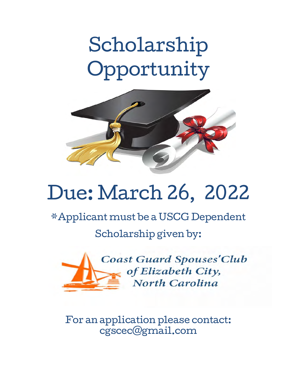# Scholarship Opportunity



## Due: March 26, 2022

\*Applicant must be a USCG Dependent

Scholarship given by:



For an application please contact: cgscec@gmail.com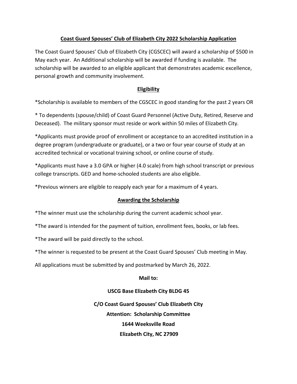## **Coast Guard Spouses' Club of Elizabeth City 2022 Scholarship Application**

The Coast Guard Spouses' Club of Elizabeth City (CGSCEC) will award a scholarship of \$500 in May each year. An Additional scholarship will be awarded if funding is available. The scholarship will be awarded to an eligible applicant that demonstrates academic excellence, personal growth and community involvement.

### **Eligibility**

\*Scholarship is available to members of the CGSCEC in good standing for the past 2 years OR

\* To dependents (spouse/child) of Coast Guard Personnel (Active Duty, Retired, Reserve and Deceased). The military sponsor must reside or work within 50 miles of Elizabeth City.

\*Applicants must provide proof of enrollment or acceptance to an accredited institution in a degree program (undergraduate or graduate), or a two or four year course of study at an accredited technical or vocational training school, or online course of study.

\*Applicants must have a 3.0 GPA or higher (4.0 scale) from high school transcript or previous college transcripts. GED and home-schooled students are also eligible.

\*Previous winners are eligible to reapply each year for a maximum of 4 years.

#### **Awarding the Scholarship**

\*The winner must use the scholarship during the current academic school year.

\*The award is intended for the payment of tuition, enrollment fees, books, or lab fees.

\*The award will be paid directly to the school.

\*The winner is requested to be present at the Coast Guard Spouses' Club meeting in May.

All applications must be submitted by and postmarked by March 26, 2022.

**Mail to:**

#### **USCG Base Elizabeth City BLDG 45**

**C/O Coast Guard Spouses' Club Elizabeth City Attention: Scholarship Committee 1644 Weeksville Road Elizabeth City, NC 27909**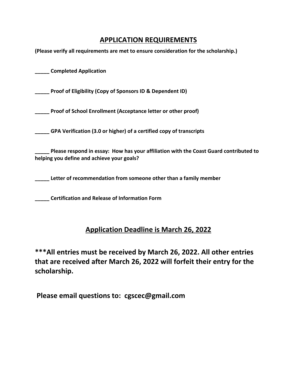## **APPLICATION REQUIREMENTS**

**(Please verify all requirements are met to ensure consideration for the scholarship.)**

**\_\_\_\_\_ Completed Application**

**\_\_\_\_\_ Proof of Eligibility (Copy of Sponsors ID & Dependent ID)**

**\_\_\_\_\_ Proof of School Enrollment (Acceptance letter or other proof)**

**\_\_\_\_\_ GPA Verification (3.0 or higher) of a certified copy of transcripts**

**\_\_\_\_\_ Please respond in essay: How has your affiliation with the Coast Guard contributed to helping you define and achieve your goals?**

**\_\_\_\_\_ Letter of recommendation from someone other than a family member**

**\_\_\_\_\_ Certification and Release of Information Form**

## **Application Deadline is March 26, 2022**

**\*\*\*All entries must be received by March 26, 2022. All other entries that are received after March 26, 2022 will forfeit their entry for the scholarship.** 

 **Please email questions to: cgscec@gmail.com**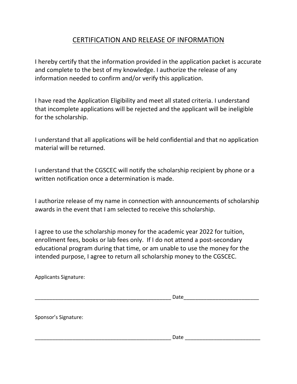## CERTIFICATION AND RELEASE OF INFORMATION

I hereby certify that the information provided in the application packet is accurate and complete to the best of my knowledge. I authorize the release of any information needed to confirm and/or verify this application.

I have read the Application Eligibility and meet all stated criteria. I understand that incomplete applications will be rejected and the applicant will be ineligible for the scholarship.

I understand that all applications will be held confidential and that no application material will be returned.

I understand that the CGSCEC will notify the scholarship recipient by phone or a written notification once a determination is made.

I authorize release of my name in connection with announcements of scholarship awards in the event that I am selected to receive this scholarship.

I agree to use the scholarship money for the academic year 2022 for tuition, enrollment fees, books or lab fees only. If I do not attend a post-secondary educational program during that time, or am unable to use the money for the intended purpose, I agree to return all scholarship money to the CGSCEC.

Applicants Signature:

| Applicants signature. |      |  |
|-----------------------|------|--|
|                       | Date |  |
| Sponsor's Signature:  |      |  |
|                       | Date |  |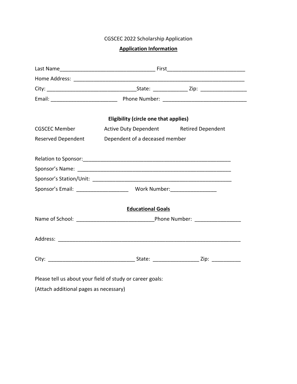CGSCEC 2022 Scholarship Application

## **Application Information**

| <b>Eligibility (circle one that applies)</b>              |                                         |  |  |  |
|-----------------------------------------------------------|-----------------------------------------|--|--|--|
| CGSCEC Member                                             | Active Duty Dependent Retired Dependent |  |  |  |
| Reserved Dependent                                        | Dependent of a deceased member          |  |  |  |
|                                                           |                                         |  |  |  |
|                                                           |                                         |  |  |  |
|                                                           |                                         |  |  |  |
|                                                           |                                         |  |  |  |
|                                                           | <b>Educational Goals</b>                |  |  |  |
|                                                           |                                         |  |  |  |
|                                                           |                                         |  |  |  |
|                                                           |                                         |  |  |  |
| Please tell us about your field of study or career goals: |                                         |  |  |  |

(Attach additional pages as necessary)